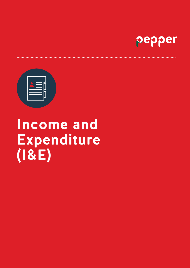

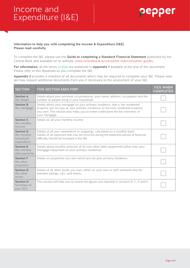

### **Information to help you with completing the Income & Expenditure (I&E). Please read carefully**

To complete the I&E, please use the **Guide to completing a Standard Financial Statement** published by the Central Bank and available on its website, www.centralbank.ie/consumer-hub/consumer-guides.

.........

**For information**, all the terms in blue are explained in **Appendix 1** available at the end of this document. Please refer to this Appendix as you complete the I&E.

**Appendix 2** provides a checklist of all documents which may be required to complete your I&E. Please note we may request additional documents from you if necessary to the assessment of your I&E.

| <b>SECTION</b>                                             | THIS SECTION ASKS FOR?                                                                                                                                                                                                                                                | <b>TICK WHEN</b><br><b>COMPLETED</b> |
|------------------------------------------------------------|-----------------------------------------------------------------------------------------------------------------------------------------------------------------------------------------------------------------------------------------------------------------------|--------------------------------------|
| <b>Section A</b><br>My details                             | Details about your personal circumstances, your name, address, occupation and the<br>number of people living in your household.                                                                                                                                       |                                      |
| <b>Section B</b><br>My mortgage                            | Details about your mortgage on your primary residence, that is, the residential<br>property you occupy as your primary residence, or the only residential property<br>you own. This section also helps you to better understand the key elements of<br>your mortgage. |                                      |
| <b>Section C</b><br>My monthly<br>income                   | Details on all your monthly income.                                                                                                                                                                                                                                   |                                      |
| <b>Section D</b><br>My monthly<br>household<br>expenditure | Details of all your expenditure or outgoings, calculated on a monthly basis.<br>Details of all expenses that may be incurred during the expected period of financial<br>difficulty should be included in the I&E                                                      |                                      |
| <b>Section E</b><br>My monthly<br>debt payments            | Details about monthly amounts of all your other debt repayments (other than your<br>mortgage repayment on your primary residence).                                                                                                                                    |                                      |
| <b>Section F</b><br>My other<br>properties                 | Details on properties you own which are not your primary residence.                                                                                                                                                                                                   |                                      |
| <b>Section G</b><br>My other<br>assets                     | Details of all other assets you own, either on your own or with someone else for<br>example savings, cars, and shares.                                                                                                                                                |                                      |
| <b>Section H</b><br>Summary of<br>your SFS                 | This section will help you to review the figures you inputted in sections B, C, D and E.                                                                                                                                                                              |                                      |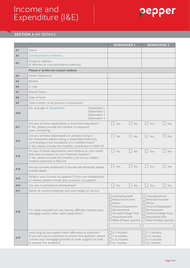

### **SECTION A** MY DETAILS

|                |                                                                                                                                                                                                                              | <b>BORROWER 1</b>                                                                                                                                                                     | <b>BORROWER 2</b>                                                                                                                                                                |
|----------------|------------------------------------------------------------------------------------------------------------------------------------------------------------------------------------------------------------------------------|---------------------------------------------------------------------------------------------------------------------------------------------------------------------------------------|----------------------------------------------------------------------------------------------------------------------------------------------------------------------------------|
| A <sub>1</sub> | Name                                                                                                                                                                                                                         |                                                                                                                                                                                       |                                                                                                                                                                                  |
| A2             | <b>Correspondence Address</b>                                                                                                                                                                                                |                                                                                                                                                                                       |                                                                                                                                                                                  |
| A3             | Property Address<br>(If different to correspondence address)                                                                                                                                                                 |                                                                                                                                                                                       |                                                                                                                                                                                  |
|                | Please √ preferred contact method                                                                                                                                                                                            |                                                                                                                                                                                       |                                                                                                                                                                                  |
| AA             | Home Telephone                                                                                                                                                                                                               |                                                                                                                                                                                       |                                                                                                                                                                                  |
| A <sub>5</sub> | Mobile                                                                                                                                                                                                                       |                                                                                                                                                                                       |                                                                                                                                                                                  |
| A6             | E-mail                                                                                                                                                                                                                       |                                                                                                                                                                                       |                                                                                                                                                                                  |
| A7             | <b>Marital Status</b>                                                                                                                                                                                                        |                                                                                                                                                                                       |                                                                                                                                                                                  |
| A8             | Date of birth                                                                                                                                                                                                                | DD/MM/YYYY                                                                                                                                                                            | DD/MM/YYYY                                                                                                                                                                       |
| A9             | Total number of all persons in household                                                                                                                                                                                     |                                                                                                                                                                                       |                                                                                                                                                                                  |
| A10            | No. and age of dependents<br>Dependant 1<br>Dependant 2<br>Dependant 3<br>Dependant 4                                                                                                                                        |                                                                                                                                                                                       |                                                                                                                                                                                  |
| A11            | Are any of these dependants in third level education?<br>If Yes, please provide the number of expected<br>years remaining.                                                                                                   | $\Box$<br>Yes<br>No                                                                                                                                                                   | $\Box$<br>Yes<br>n l<br>No                                                                                                                                                       |
| A12            | Are any of these dependants or persons living in<br>the household without being a dependant financially<br>contributing to the household on a monthly basis?<br>If Yes, please include the monthly contribution in field C8. | Yes<br><b>No</b>                                                                                                                                                                      | Yes<br><b>No</b>                                                                                                                                                                 |
| A13            | Do any of these dependants have medical or care needs<br>that have an impact on your financial situation?<br>If Yes, please include the monthly cost of any related<br>medical expenses in field D4.                         | Yes<br><b>No</b>                                                                                                                                                                      | Yes<br><b>No</b>                                                                                                                                                                 |
| A14            | Are you currently employed? If you are self-employed, please<br>provide details.                                                                                                                                             | Yes<br>No                                                                                                                                                                             | Yes<br><b>No</b>                                                                                                                                                                 |
| A15            | What is your current occupation? If you are unemployed<br>or retired, please include your previous occupation.                                                                                                               |                                                                                                                                                                                       |                                                                                                                                                                                  |
| A16            | Are you in permanent employment?                                                                                                                                                                                             | $\Box$ Yes<br>$\Box$ No                                                                                                                                                               | $\Box$ No<br>$\Box$ Yes                                                                                                                                                          |
| A17            | Name of current employer and your length of service                                                                                                                                                                          |                                                                                                                                                                                       |                                                                                                                                                                                  |
| A18            | For what reason(s) are you having, difficulty meeting your<br>mortgage and/or other debt repayments?                                                                                                                         | $\Box$ Unemployment<br>Reduced Income<br>$\Box$ Illness<br>$\Box$ Divorce/Separation<br>$\Box$ Bereavement<br>School/College Fees<br>Household bills<br>$\Box$ Other (Please specify) | $\Box$ Unemployment<br>Reduced Income<br><b>Illness</b><br>Divorce/Separation<br>Bereavement<br>□ School/College Fees<br>$\Box$ Household bills<br>$\Box$ Other (Please specify) |
| A19            | How long do you expect these difficulties to continue?<br>(If you are not in a position to answer this question, please<br>contact your mortgage provider to seek support on how<br>to answer this question)                 | $\Box$ 0-3 months<br>$\Box$ 3-6 months<br>$\Box$ 6-12 months<br>$\Box$ 12+ months                                                                                                     | $\Box$ 0-3 months<br>$\Box$ 3-6 months<br>$\Box$ 6-12 months<br>$\Box$ 12+ months                                                                                                |

............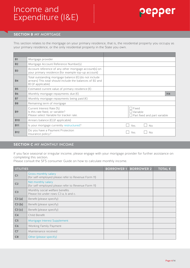# ၣၔၣၣၔႃႜ

### **SECTION B** MY MORTGAGE

This section relates to the mortgage on your primary residence, that is, the residential property you occupy as your primary residence, or the only residential property in the State you own.

| <b>B1</b>  | Mortgage provider                                                                                                                                  |                                                                 |
|------------|----------------------------------------------------------------------------------------------------------------------------------------------------|-----------------------------------------------------------------|
| <b>B2</b>  | Mortgage Account Reference Number(s)                                                                                                               |                                                                 |
| <b>B3</b>  | Account reference of any other mortgage account(s) on<br>your primary residence (for example top-up account)                                       |                                                                 |
| <b>B4</b>  | Total outstanding mortgage balance $(\epsilon)$ (do not include<br>arrears) This total should include the balances of B2 and<br>B3 (if applicable) |                                                                 |
| <b>B5</b>  | Estimated current value of primary residence $(\epsilon)$                                                                                          |                                                                 |
| <b>B6</b>  | Monthly mortgage repayments due $(\epsilon)$                                                                                                       | H <sub>4</sub>                                                  |
| <b>B7</b>  | Monthly mortgage repayments being paid $(\epsilon)$                                                                                                |                                                                 |
| <b>B8</b>  | Remaining term of mortgage                                                                                                                         |                                                                 |
| <b>B9</b>  | Current Interest Rate (%)<br>Is this rate fixed, or variable?<br>Please select Variable for tracker rate.                                          | $\Box$ Fixed<br>Variable<br>$\Box$ Part fixed and part variable |
| <b>B10</b> | Arrears balance $(\epsilon)$ (if applicable)                                                                                                       |                                                                 |
| <b>B11</b> | Is your mortgage currently restructured?                                                                                                           | Yes<br><b>No</b>                                                |
| <b>B12</b> | Do you have a Payment Protection<br>Insurance policy?                                                                                              | Yes<br>No                                                       |

### **SECTION C** MY MONTHLY INCOME

If you face seasonal or irregular income, please engage with your mortgage provider for further assistance on completing this section.

Please consult the SFS consumer Guide on how to calculate monthly income.

| <b>UTILITIES</b> |                                                                             | <b>BORROWER 1</b> | <b>BORROWER 2</b> | TOTAL $\epsilon$ |
|------------------|-----------------------------------------------------------------------------|-------------------|-------------------|------------------|
| C <sub>1</sub>   | Gross monthly salary<br>(for self-employed please refer to Revenue Form 11) |                   |                   |                  |
| C <sub>2</sub>   | Net monthly salary<br>(for self-employed please refer to Revenue Form 11)   |                   |                   |                  |
| C <sub>3</sub>   | Monthly social welfare benefits<br>Please list under rows C3 a, b and c.    |                   |                   |                  |
| C3(a)            | Benefit (please specify)                                                    |                   |                   |                  |
| C3(b)            | Benefit (please specify)                                                    |                   |                   |                  |
| C3(c)            | Benefit (please specify)                                                    |                   |                   |                  |
| C <sub>4</sub>   | Child Benefit                                                               |                   |                   |                  |
| C <sub>5</sub>   | Mortgage Interest Supplement                                                |                   |                   |                  |
| C6               | Working Family Payment                                                      |                   |                   |                  |
| C <sub>7</sub>   | Maintenance received                                                        |                   |                   |                  |
| C8               | Other (please specify)                                                      |                   |                   |                  |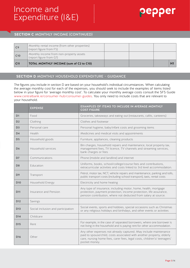### **SECTION C** MONTHLY INCOME (CONTINUED)

| C <sub>9</sub>  | Monthly rental income (from other properties)<br>(report figure from F5) |  |
|-----------------|--------------------------------------------------------------------------|--|
| C10             | Monthly income from non-property assets<br>(report figure from G7)       |  |
| C <sub>11</sub> | TOTAL MONTHLY INCOME (sum of C2 to C10)                                  |  |

...........

### **SECTION D** MONTHLY HOUSEHOLD EXPENDITURE – GUIDANCE

The figures you include in section D are based on your household's individual circumstances. When calculating the average monthly cost for each of the expenses, you should seek to include the examples of items listed below in your figure for 'average monthly cost'. To calculate your monthly average costs consult the SFS Guide www.centralbank.ie/consumer-hub/consumer-guides. You only need to include costs that are relevant to your household.

|                 | <b>EXPENSE</b>                     | EXAMPLES OF ITEMS TO INCLUDE IN AVERAGE MONTHLY<br><b>COST FIGURE</b>                                                                                                                                                                  |
|-----------------|------------------------------------|----------------------------------------------------------------------------------------------------------------------------------------------------------------------------------------------------------------------------------------|
| D <sub>1</sub>  | Food                               | Groceries, takeaways and eating out (restaurants, cafés, canteens)                                                                                                                                                                     |
| D <sub>2</sub>  | Clothing                           | Clothes and footwear                                                                                                                                                                                                                   |
| D <sub>3</sub>  | Personal care                      | Personal hygiene, baby/infant costs and grooming items                                                                                                                                                                                 |
| <b>D4</b>       | Health                             | Medicines and medical visits and appointments                                                                                                                                                                                          |
| D <sub>5</sub>  | Household goods                    | Furniture, appliances, cleaning products                                                                                                                                                                                               |
| D <sub>6</sub>  | Household services                 | Bin charges, household repairs and maintenance, local property tax,<br>management fees, TV licence, TV channels and streaming services,<br>bank charges or fees                                                                        |
| D7              | Communications                     | Phone (mobile and landline) and internet                                                                                                                                                                                               |
| D <sub>8</sub>  | Education                          | Uniforms, books, school/college/course fees and contributions,<br>extracurricular activities and costs linked to 3rd level accommodation.                                                                                              |
| D <sub>9</sub>  | Transport                          | Petrol, motor tax, NCT, vehicle repairs and maintenance, parking and tolls,<br>public transport costs (including school transport), taxis, rental costs                                                                                |
| <b>D10</b>      | Household Energy                   | Electricity and home heating                                                                                                                                                                                                           |
| <b>D11</b>      | Insurance and Pension              | Any type of insurance, including motor, home, health, mortgage<br>protection, payment protection, income protection, life assurance,<br>pension contribution, where not deducted from salary at source.                                |
| <b>D12</b>      | Savings                            |                                                                                                                                                                                                                                        |
| <b>D13</b>      | Social inclusion and participation | Social events, sports and hobbies, special occasions such as Christmas<br>or any religious holidays and birthdays, and other events or activities                                                                                      |
| <b>D14</b>      | Childcare                          |                                                                                                                                                                                                                                        |
| <b>D15</b>      | Rent                               | For example, in the case of separated borrowers, where one borrower is<br>not living in the household and is paying rent for other accommodation.                                                                                      |
| D <sub>16</sub> | Other                              | Any other expenses not already captured. May include maintenance<br>paid to spouse/child, costs associated with another property, elderly<br>care, nursing home fees, carer fees, legal costs, children's/ teenagers'<br>pocket money. |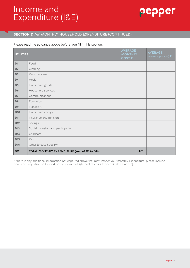# ၣၔၣၣၔႃႜ

### **SECTION D** MY MONTHLY HOUSEHOLD EXPENDITURE (CONTINUED)

#### Please read the guidance above before you fill in this section.

| <b>UTILITIES</b> |                                              | <b>AVERAGE</b><br><b>MONTHLY</b><br>COST € |                | <b>AVERAGE</b><br>(where applicable) $\epsilon$ |
|------------------|----------------------------------------------|--------------------------------------------|----------------|-------------------------------------------------|
| D <sub>1</sub>   | Food                                         |                                            |                |                                                 |
| D <sub>2</sub>   | Clothing                                     |                                            |                |                                                 |
| D <sub>3</sub>   | Personal care                                |                                            |                |                                                 |
| D <sub>4</sub>   | Health                                       |                                            |                |                                                 |
| D <sub>5</sub>   | Household goods                              |                                            |                |                                                 |
| D <sub>6</sub>   | Household services                           |                                            |                |                                                 |
| D7               | Communications                               |                                            |                |                                                 |
| D <sub>8</sub>   | Education                                    |                                            |                |                                                 |
| D <sub>9</sub>   | Transport                                    |                                            |                |                                                 |
| D <sub>10</sub>  | Household energy                             |                                            |                |                                                 |
| <b>D11</b>       | Insurance and pension                        |                                            |                |                                                 |
| <b>D12</b>       | Savings                                      |                                            |                |                                                 |
| <b>D13</b>       | Social inclusion and participation           |                                            |                |                                                 |
| <b>D14</b>       | Childcare                                    |                                            |                |                                                 |
| <b>D15</b>       | Rent                                         |                                            |                |                                                 |
| <b>D16</b>       | Other (please specify)                       |                                            |                |                                                 |
| <b>D17</b>       | TOTAL MONTHLY EXPENDITURE (sum of D1 to D16) |                                            | H <sub>2</sub> |                                                 |

...........

If there is any additional information not captured above that may impact your monthly expenditure, please include here [you may also use this text box to explain a high level of costs for certain items above]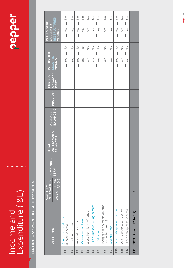# Income and<br>Expenditure (I&E) Expenditure (I&E) Income and

# pepper

# SECTION E MY MONTHLY DEBT PAYMENTS **SECTION E** MY MONTHLY DEBT PAYMENTS

|                |                                                     | <b>REPAYMENTS</b><br><b>NAILNOW</b>              | <b>REMAINING</b> | TOTAL<br>OUTSTANDING | <b>ARREARS</b>   |                   | PURPOSE | IS THIS DEBT<br><b>SECURED</b>                                               | IS THIS DEBT<br>CURRENTLY                                                    |
|----------------|-----------------------------------------------------|--------------------------------------------------|------------------|----------------------|------------------|-------------------|---------|------------------------------------------------------------------------------|------------------------------------------------------------------------------|
|                | DEBT TYPE                                           | <b>BEING</b><br>PAID <sub>E</sub><br><b>DUEE</b> | TERM             | <b>BALANCE E</b>     | <b>BALANCE €</b> | PROVIDER OF LOAN/ | DEBT    | YES/NO                                                                       | RESTRUCTURED?<br><b>VES/NO</b>                                               |
| 面              | Court mandated debt<br>(Please specify)             |                                                  |                  |                      |                  |                   |         | $\Box$ Yes $\Box$ No                                                         | $\Box$ Yes $\Box$ No                                                         |
| E2             | Credit union loan                                   |                                                  |                  |                      |                  |                   |         | $\frac{0}{2}$<br>Yes                                                         | $\frac{0}{2}$<br>Yes                                                         |
| E3             | Personal bank loan                                  |                                                  |                  |                      |                  |                   |         | $\frac{0}{2}$<br>Yes                                                         | $\frac{0}{2}$<br>٦<br>Yes                                                    |
| $E_4$          | Moneylending loan                                   |                                                  |                  |                      |                  |                   |         | $\frac{0}{2}$<br>$\Box$<br>Yes<br>┐                                          | $\frac{0}{2}$<br>$\overline{\phantom{a}}$<br>Yes<br>$\overline{\phantom{a}}$ |
| E5             | Loans from family/friends                           |                                                  |                  |                      |                  |                   |         | $\frac{1}{2}$<br>Yes                                                         | $\frac{0}{Z}$<br>$\overline{\phantom{a}}$<br>Yes                             |
| $\overline{E}$ | Hire purchase/PCP agreement                         |                                                  |                  |                      |                  |                   |         | $\frac{0}{2}$<br>$\overline{\phantom{a}}$<br>Yes<br>$\overline{\phantom{0}}$ | $\frac{0}{Z}$<br>$\Box$<br>Yes<br>$\overline{\phantom{a}}$                   |
| E7             | Credit card                                         |                                                  |                  |                      |                  |                   |         | $\frac{\circ}{\mathbb{Z}}$<br>$\overline{\phantom{a}}$<br>Yes<br>Π           | $\stackrel{\circ}{\simeq}$<br>$\overline{\phantom{a}}$<br>Yes<br>┑           |
| $\mathbb{E}^8$ | Mortgage repayments on other<br>properties (see F5) |                                                  |                  |                      |                  |                   |         | $\frac{0}{2}$<br>Yes                                                         | $\frac{0}{2}$<br>Yes                                                         |
| Ε9             | Revenue Debt                                        |                                                  |                  |                      |                  |                   |         | $\frac{0}{2}$<br>Yes                                                         | $\frac{0}{2}$<br>Yes                                                         |
| <b>E10</b>     | Other debt (please specify)                         |                                                  |                  |                      |                  |                   |         | $\frac{0}{2}$<br>$\overline{a}$<br>Yes<br>Ϊ                                  | $\frac{0}{2}$<br>$\overline{\phantom{0}}$<br>Yes<br>٦                        |
| E11            | Other debt (please specify)                         |                                                  |                  |                      |                  |                   |         | $\frac{\circ}{\mathbb{Z}}$<br>Yes<br>Ξ                                       | $\stackrel{\circ}{\simeq}$<br>Yes<br>Г                                       |
| <b>E12</b>     | Other debt (please specify)                         |                                                  |                  |                      |                  |                   |         | $\frac{0}{2}$<br>Yes<br>Ξ                                                    | $\frac{0}{2}$<br>Yes                                                         |
| E13            | TOTAL (sum of E1 to E12)                            | $\frac{1}{15}$                                   |                  |                      |                  |                   |         |                                                                              |                                                                              |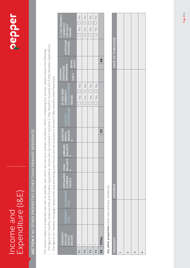# insonne and<br>Expenditure (I&E) Expenditure (I&E) Income and Income and

# pepper

# SECTION F MY OTHER PROPERTIES (OTHER THAN PRIMARY RESIDENCE) **SECTION F** MY OTHER PROPERTIES (OTHER THAN PRIMARY RESIDENCE)

· The figures for monthly rental income and monthly expenditure should also be included in Sections C (My Monthly Income) and D (My Monthly Expenditure) The figures for monthly rental income and monthly expenditure should also be included in Sections C (My Monthly Income) and D (My Monthly Expenditure) This section relates to properties you own or partially own which are not your primary residence. When completing this section, please ensure the following: This section relates to properties you own or partially own which are not your primary residence. When completing this section, please ensure the following:

- · The figures for monthly mortgage repayments due and being paid should also be included in Section E (My Monthly Debt Payments) The figures for monthly mortgage repayments due and being paid should also be included in Section E (My Monthly Debt Payments)
- IS THIS PROPERTY  $\frac{1}{2}$  $\frac{1}{2}$  $\frac{1}{2}$  $\frac{1}{2}$ IS THIS PROPERTY **F1** 1 Yes No Yes No **F2** 2 Yes No Yes No **F3** 3 Yes No Yes No **P4**  $\frac{4}{\sqrt{4}}$   $\frac{4}{\sqrt{4}}$   $\frac{4}{\sqrt{4}}$   $\frac{4}{\sqrt{4}}$   $\frac{4}{\sqrt{4}}$   $\frac{4}{\sqrt{4}}$   $\frac{4}{\sqrt{4}}$   $\frac{4}{\sqrt{4}}$   $\frac{4}{\sqrt{4}}$   $\frac{4}{\sqrt{4}}$   $\frac{4}{\sqrt{4}}$   $\frac{4}{\sqrt{4}}$   $\frac{4}{\sqrt{4}}$   $\frac{4}{\sqrt{4}}$   $\frac{4}{\sqrt{4}}$   $\frac{4}{\sqrt{4}}$   $\frac{4}{\sqrt$  $\Box$  $\Box$  $\Box$  $\Box$ CURRENTLY CURRENTLY FOR SALE? FOR SALE? Yes Yes Yes Yes **YES/NO**  $\Box$  $\Box$  $\Box$  $\Box$ **MORTGAGE**<br>PROVIDER **REPAYMENTS** MORTGAGE PROVIDER  $\mathbf{E}$ 8 **F5** TOTAL C9 TOTAL C9 TOTAL C9 TOTAL C9 TOTAL C9 TOTAL C9 TOTAL C9 TOTAL C9 TOTAL C9 TOTAL C9 TOTAL C9 TOTAL C9 TOTAL C9 TOTAL C9 TOTAL C9 TOTAL C9 TOTAL C9 TOTAL C9 TOTAL C9 TOTAL C9 TOTAL C9 TOTAL C9 TOTAL C9 TOTAL C9 T DUE € BEING<br>PAID € **REPAYMENTS** MORTGAGE **MORTGAGE MONTHLY MONTHLY IS THIS DEBT<br>CURRENTLY<br>RESTRUCTURED?**  $\begin{array}{c}\n0 \\
0 \\
0\n\end{array}$  $\frac{0}{2}$  $\frac{0}{2}$  $\frac{0}{2}$ **RESTRUCTURED? IS THIS DEBT**   $\Box$  $\Box$  $\Box$ **CURRENTLY**  Yes Yes Yes Yes **YES/NO**  $\Box$  $\Box$  $\Box$  $\Box$ **EXPENDITURE MONTHLY MONTHLY**<br>RENTAL<br>INCOME **MONTHLY** င် **INCOME €**ARREARS<br>BALANCE **BALANCE ARREARS €BALANCE BALANCE LOAN € ESTIMATED CURRENT VALUE € OWNERSHIP** PROPERTY<br>TYPE **PROPERTY** PROPERTY<br>(INCLUDE<br>DETAILS<br>BELOW) PROPERTY (INCLUDE DETAILS **TOTAL**  $\sim$  $\infty$  $\overline{4}$ F5 F4 园 F<sub>2</sub>  $F$

My other properties (other than primary residence) **My other properties** (other than primary residence)

| PROPERTY | <b>ADDRESS</b> | DATE OF PURCHASE |
|----------|----------------|------------------|
|          |                |                  |
| 2        |                |                  |
| m        |                |                  |
| 4        |                |                  |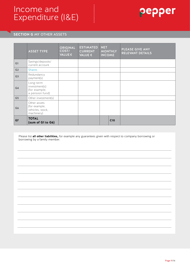

### **SECTION G** MY OTHER ASSETS

|                | <b>ASSET TYPE</b>                                               | <b>ORIGINAL</b><br>COST/<br>VALUE€ | <b>ESTIMATED</b><br><b>CURRENT</b><br>VALUE € | <b>NET</b><br><b>MONTHLY</b><br><b>INCOME</b> | PLEASE GIVE ANY<br><b>RELEVANT DETAILS</b> |
|----------------|-----------------------------------------------------------------|------------------------------------|-----------------------------------------------|-----------------------------------------------|--------------------------------------------|
| G1             | Savings/deposits/<br>current account                            |                                    |                                               |                                               |                                            |
| G <sub>2</sub> | <b>Shares</b>                                                   |                                    |                                               |                                               |                                            |
| G <sub>3</sub> | Redundancy<br>payment(s)                                        |                                    |                                               |                                               |                                            |
| G4             | Long-term<br>investment(s)<br>(for example,<br>a pension fund)  |                                    |                                               |                                               |                                            |
| G5             | Other investment(s)                                             |                                    |                                               |                                               |                                            |
| G <sub>6</sub> | Other assets<br>(for example,<br>vehicles, stock,<br>machinery) |                                    |                                               |                                               |                                            |
| G7             | <b>TOTAL</b><br>(sum of G1 to G6)                               |                                    |                                               | C10                                           |                                            |

Please list **all other liabilities,** for example any guarantees given with respect to company borrowing or borrowing by a family member.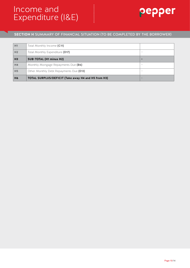

### **SECTION H** SUMMARY OF FINANCIAL SITUATION (TO BE COMPLETED BY THE BORROWER)

..........

| H1             | Total Monthly Income (C11)                          |                          |
|----------------|-----------------------------------------------------|--------------------------|
| H <sub>2</sub> | Total Monthly Expenditure (D17)                     |                          |
| H <sub>3</sub> | <b>SUB-TOTAL (H1 minus H2)</b>                      | $=$                      |
| H <sub>4</sub> | Monthly Mortgage Repayments Due (B6)                |                          |
| H <sub>5</sub> | Other Monthly Debt Repayments Due (E13)             | $\overline{\phantom{a}}$ |
| H <sub>6</sub> | TOTAL SURPLUS/DEFICIT (Take away H4 and H5 from H3) | $\equiv$                 |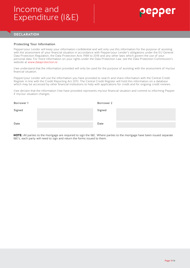### **DECLARATION**

#### Protecting Your Information

Pepper/your Lender will keep your information confidential and will only use this information for the purpose of assisting with the assessment of your financial situation in accordance with Pepper/your Lender's obligations under the EU General Data Protection Regulation, the Data Protection Acts 1988 to 2018 and any other laws which govern the use of your personal data. For more information on your rights under the Data Protection Law, see the Data Protection Commission's website at www.dataprotection.ie.

**...........** 

I/we understand that the information provided will only be used for the purpose of assisting with the assessment of my/our financial situation.

Pepper/your Lender will use the information you have provided to search and share information with the Central Credit Register in line with the Credit Reporting Act 2013. The Central Credit Register will hold this information on a database which may be accessed by other financial institutions to help with applications for credit and for ongoing credit reviews.

I/we declare that the information I/we have provided represents my/our financial situation and commit to informing Pepper if my/our situation changes.

| Borrower 1 | Borrower 2 |  |
|------------|------------|--|
| Signed     | Signed     |  |
| Date       | Date       |  |

**NOTE:** All parties to the mortgage are required to sign the I&E. Where parties to the mortgage have been issued separate I&E's, each party will need to sign and return the forms issued to them.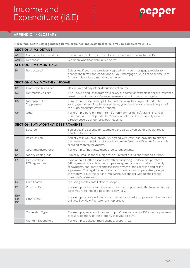# Income and Expenditure (I&E) Income Expenditure

### **APPENDIX 1** - GLOSSARY

**Please find below useful guidance (terms explained and examples) to help you to complete your I&E.**

| <b>SECTION A MY DETAILS</b>  |                                    |                                                                                                                                                                                                                                                                                                                                                                                                                        |  |  |  |
|------------------------------|------------------------------------|------------------------------------------------------------------------------------------------------------------------------------------------------------------------------------------------------------------------------------------------------------------------------------------------------------------------------------------------------------------------------------------------------------------------|--|--|--|
| A2                           | Correspondence address             | This address will be used for all correspondence relating to this I&E.                                                                                                                                                                                                                                                                                                                                                 |  |  |  |
| A <sub>10</sub>              | Dependant                          | A person who financially relies on you.                                                                                                                                                                                                                                                                                                                                                                                |  |  |  |
| <b>SECTION B MY MORTGAGE</b> |                                    |                                                                                                                                                                                                                                                                                                                                                                                                                        |  |  |  |
| <b>B11</b>                   | Restructured                       | Select Yes if you have previously agreed with your mortgage provider to<br>change the terms and conditions of your mortgage due to financial difficulties -<br>for example reduced monthly payments.                                                                                                                                                                                                                   |  |  |  |
| SECTION C MY MONTHLY INCOME  |                                    |                                                                                                                                                                                                                                                                                                                                                                                                                        |  |  |  |
| C <sub>1</sub>               | Gross monthly salary               | Before tax and any other deductions at source                                                                                                                                                                                                                                                                                                                                                                          |  |  |  |
| C <sub>2</sub>               | Net monthly salary                 | If you have a deduction from your salary at source for example for health insurance,<br>pension, credit union or Revenue payments do not include them again.                                                                                                                                                                                                                                                           |  |  |  |
| C <sub>5</sub>               | Mortgage Interest<br>Supplement    | If you were previously eligible for and receiving this payment under the<br>Mortgage Interest Supplement scheme, you should now receive it as part of<br>the Supplementary Welfare Scheme.                                                                                                                                                                                                                             |  |  |  |
| C8                           | Other                              | For example pension, room rent (for primary residence), grants, financial<br>contribution from dependants. Please do not repeat any monthly income<br>already covered under previous headings.                                                                                                                                                                                                                         |  |  |  |
|                              | SECTION E MY MONTHLY DEBT PAYMENTS |                                                                                                                                                                                                                                                                                                                                                                                                                        |  |  |  |
|                              | Secured                            | Select yes if a security for example a property, a vehicle or a guarantee is<br>attached to the debt.                                                                                                                                                                                                                                                                                                                  |  |  |  |
|                              | Restructured                       | Select yes if you have previously agreed with your loan provider to change<br>the terms and conditions of your loan due to financial difficulties for example<br>reduced monthly payments.                                                                                                                                                                                                                             |  |  |  |
| E1                           | Court mandated debt                | For example, fines, instalment orders, judgements.                                                                                                                                                                                                                                                                                                                                                                     |  |  |  |
| E4                           | Moneylending loan                  | Typically small loans at a high rate of interest over a short period of time.                                                                                                                                                                                                                                                                                                                                          |  |  |  |
| E <sub>6</sub>               | Hire purchase/<br>PCP agreement    | Type of credit, often associated with car financing. Under a hire purchase<br>(HP) agreement, you hire the car, pay an agreed amount usually in monthly<br>repayments, and only become the legal owner of the car at the end of the<br>agreement. The legal owner of the car is the finance company that gave you<br>the money to buy the car and you cannot sell the car without the finance<br>company's permission. |  |  |  |
| E7                           | Credit cards                       | Including credit cards linked to shops.                                                                                                                                                                                                                                                                                                                                                                                |  |  |  |
| E <sub>9</sub>               | Revenue Debt                       | For example all arrangements you may have in place with the Revenue to pay<br>taxes you were not in a position to pay fully.                                                                                                                                                                                                                                                                                           |  |  |  |
| <b>E10</b><br>E11<br>E12     | Other Debt                         | For example additional loans or credit cards, overdrafts, payment of arrears on<br>utilities, Buy Now Pay Later or shop credit.                                                                                                                                                                                                                                                                                        |  |  |  |
|                              |                                    |                                                                                                                                                                                                                                                                                                                                                                                                                        |  |  |  |
|                              | Ownership Type                     | For example, sole or joint ownership. Where you do not 100% own a property,<br>please state the % of the property that you do own.                                                                                                                                                                                                                                                                                     |  |  |  |
|                              | Monthly Expenditure                | For example, upkeep, maintenance, property tax.                                                                                                                                                                                                                                                                                                                                                                        |  |  |  |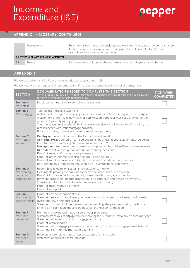### **APPENDIX 1** - GLOSSARY (CONTINUED)

|                                  | Restructured | Select yes if you have previously agreed with your mortgage provider to change<br>the terms and conditions of your mortgage due to financial difficulties for<br>example reduced monthly payments. |  |  |  |
|----------------------------------|--------------|----------------------------------------------------------------------------------------------------------------------------------------------------------------------------------------------------|--|--|--|
| <b>SECTION G MY OTHER ASSETS</b> |              |                                                                                                                                                                                                    |  |  |  |
| G <sub>2</sub>                   | Shares       | For example, credit union shares, bank shares, employee share schemes.                                                                                                                             |  |  |  |

### **APPENDIX 2**

Please see below list of all documents needed to support your I&E.

Please note we may request this documentation if needed to assess your financial circumstances

| <b>SECTION</b>                                             | DOCUMENTATION NEEDED TO COMPLETE THIS SECTION<br>(Where requested, you only need to provide the documents relevant to your individual situation<br>to verify information in your completed I&E)                                                                                                                                                                                                                                                                                                                                                                                                                                            | <b>TICK WHEN</b><br><b>COMPLETED</b> |
|------------------------------------------------------------|--------------------------------------------------------------------------------------------------------------------------------------------------------------------------------------------------------------------------------------------------------------------------------------------------------------------------------------------------------------------------------------------------------------------------------------------------------------------------------------------------------------------------------------------------------------------------------------------------------------------------------------------|--------------------------------------|
| <b>Section A</b><br>My details                             | No document required to complete this section                                                                                                                                                                                                                                                                                                                                                                                                                                                                                                                                                                                              |                                      |
| <b>Section B</b><br>My mortgage                            | Your annual mortgage statement<br>A statement from your mortgage provider showing the total left to pay on your mortgage<br>A statement of mortgage payments or confirmation from your mortgage provider of the<br>amount of monthly mortgage payment<br>Your mortgage provider should be in a position to give you all the above information, so<br>please engage with your mortgage provider.<br>Print out showing current estimated value of your property                                                                                                                                                                              |                                      |
| <b>Section C</b><br>My monthly<br>income                   | <b>Employee:</b> proof of income in the form of recent payslips<br>Self-employed: audited or certified accounts, business account statements, personal<br>tax return or tax balancing statement, Revenue Form 11<br><b>Unemployed:</b> most recent social welfare receipt for each social welfare payment received<br>Retired: proof of receipt and amount of monthly pensions<br>Proof of receipt of maintenance payments<br>Proof of other income (see also Section F and Section G)<br>Proof of monthly financial contribution received from dependants and/or<br>non-dependants living in the household (for example bank statements). |                                      |
| <b>Section D</b><br>My monthly<br>household<br>expenditure | Recent Bills (electricity, gas/oil, internet, phone, mobile)<br>Documents proving the amount spent on childcare and/or elderly care<br>Proof of insurance (including motor, home, health, mortgage protection,<br>payment protection, income protection, life assurance) and pension payments<br>(pension contribution not deducted from salary at source)<br>Proof of maintenance payments<br>Proof of rent paid                                                                                                                                                                                                                          |                                      |
| <b>Section E</b><br>My monthly<br>debt payments            | Proof of any court payment due<br>Statement related to any loans you have (credit unions, personal loans, credit cards,<br>overdrafts, PCP/hire purchases)<br>Statements should include the amount outstanding, the payments being made, the<br>time left on each loan, the arrears balance, the reason for the loan                                                                                                                                                                                                                                                                                                                       |                                      |
| <b>Section F</b><br>My other<br>properties                 | Print outs showing estimated value of your properties<br>Statement from your mortgage provider showing the full amount left to pay on each mortgage<br>Statement of arrears on your mortgage accounts<br>Proof of rental income<br>Statement of mortgage payments or confirmation from your mortgage provider(s) of<br>the amount of monthly mortgage payment                                                                                                                                                                                                                                                                              |                                      |
| <b>Section G</b><br>My other<br>assets                     | Receipts and/or statements of purchase price for any asset<br>Statement of current estimated value                                                                                                                                                                                                                                                                                                                                                                                                                                                                                                                                         |                                      |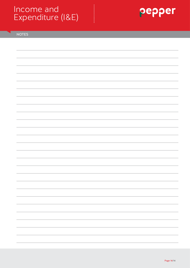# Income and Expenditure (I&E) Income Expenditure



NOTES

............